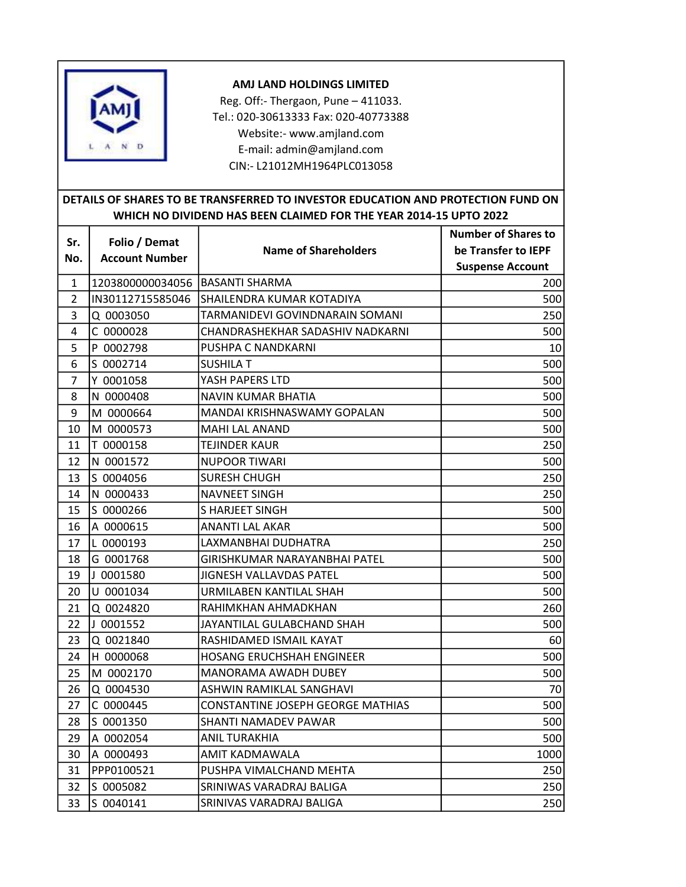

## AMJ LAND HOLDINGS LIMITED

Reg. Off:- Thergaon, Pune – 411033. Tel.: 020-30613333 Fax: 020-40773388 Website:- www.amjland.com E-mail: admin@amjland.com CIN:- L21012MH1964PLC013058

## DETAILS OF SHARES TO BE TRANSFERRED TO INVESTOR EDUCATION AND PROTECTION FUND ON WHICH NO DIVIDEND HAS BEEN CLAIMED FOR THE YEAR 2014-15 UPTO 2022

|                | Folio / Demat                     | <b>Name of Shareholders</b>       | <b>Number of Shares to</b> |
|----------------|-----------------------------------|-----------------------------------|----------------------------|
| Sr.            |                                   |                                   | be Transfer to IEPF        |
| No.            | <b>Account Number</b>             |                                   | <b>Suspense Account</b>    |
| 1              | 1203800000034056   BASANTI SHARMA |                                   | 200                        |
| $\overline{2}$ | IN30112715585046                  | SHAILENDRA KUMAR KOTADIYA         | 500                        |
| 3              | Q 0003050                         | TARMANIDEVI GOVINDNARAIN SOMANI   | 250                        |
| 4              | C 0000028                         | CHANDRASHEKHAR SADASHIV NADKARNI  | 500                        |
| 5              | P 0002798                         | PUSHPA C NANDKARNI                | 10                         |
| 6              | S 0002714                         | SUSHILA T                         | 500                        |
| $\overline{7}$ | Y 0001058                         | YASH PAPERS LTD                   | 500                        |
| 8              | N 0000408                         | NAVIN KUMAR BHATIA                | 500                        |
| 9              | M 0000664                         | MANDAI KRISHNASWAMY GOPALAN       | 500                        |
| 10             | M 0000573                         | MAHI LAL ANAND                    | 500                        |
| 11             | T 0000158                         | TEJINDER KAUR                     | 250                        |
| 12             | N 0001572                         | NUPOOR TIWARI                     | 500                        |
| 13             | S 0004056                         | <b>SURESH CHUGH</b>               | 250                        |
| 14             | N 0000433                         | <b>NAVNEET SINGH</b>              | 250                        |
| 15             | S 0000266                         | <b>S HARJEET SINGH</b>            | 500                        |
| 16             | A 0000615                         | <b>ANANTI LAL AKAR</b>            | 500                        |
| 17             | L 0000193                         | LAXMANBHAI DUDHATRA               | 250                        |
| 18             | G 0001768                         | GIRISHKUMAR NARAYANBHAI PATEL     | 500                        |
| 19             | J 0001580                         | JIGNESH VALLAVDAS PATEL           | 500                        |
| 20             | U 0001034                         | URMILABEN KANTILAL SHAH           | 500                        |
| 21             | Q 0024820                         | RAHIMKHAN AHMADKHAN               | 260                        |
| 22             | J 0001552                         | JAYANTILAL GULABCHAND SHAH        | 500                        |
| 23             | Q 0021840                         | RASHIDAMED ISMAIL KAYAT           | 60                         |
| 24             | H 0000068                         | HOSANG ERUCHSHAH ENGINEER         | 500                        |
| 25             | M 0002170                         | MANORAMA AWADH DUBEY              | 500                        |
| 26             | Q 0004530                         | ASHWIN RAMIKLAL SANGHAVI          | 70                         |
| 27             | C 0000445                         | CONSTANTINE JOSEPH GEORGE MATHIAS | 500                        |
| 28             | S 0001350                         | SHANTI NAMADEV PAWAR              | 500                        |
| 29             | A 0002054                         | <b>ANIL TURAKHIA</b>              | 500                        |
| 30             | A 0000493                         | AMIT KADMAWALA                    | 1000                       |
| 31             | PPP0100521                        | PUSHPA VIMALCHAND MEHTA           | 250                        |
| 32             | S 0005082                         | SRINIWAS VARADRAJ BALIGA          | 250                        |
| 33             | S 0040141                         | SRINIVAS VARADRAJ BALIGA          | 250                        |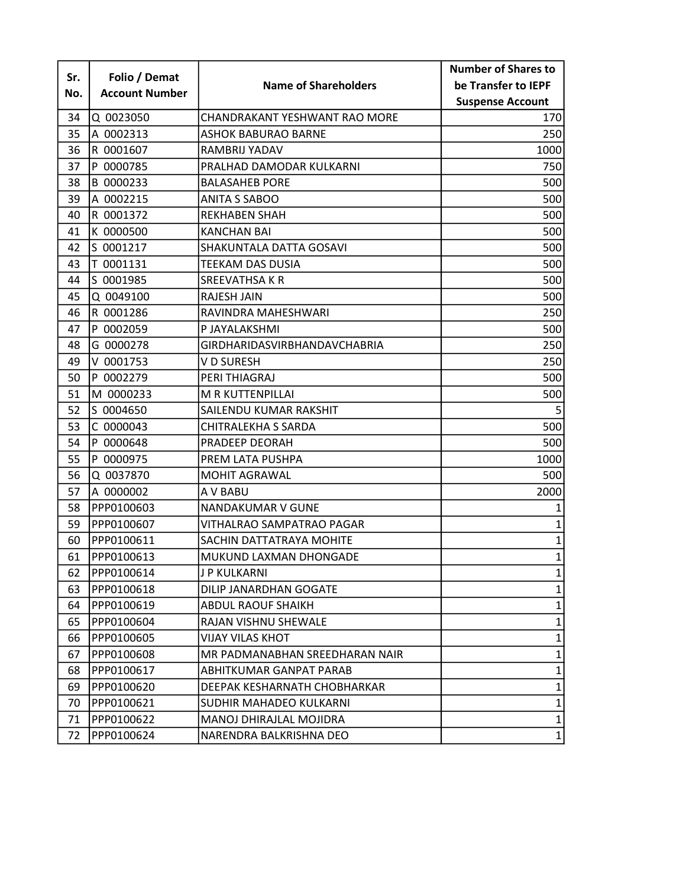|     |                       |                                | <b>Number of Shares to</b> |
|-----|-----------------------|--------------------------------|----------------------------|
| Sr. | Folio / Demat         | <b>Name of Shareholders</b>    | be Transfer to IEPF        |
| No. | <b>Account Number</b> |                                | <b>Suspense Account</b>    |
| 34  | Q 0023050             | CHANDRAKANT YESHWANT RAO MORE  | 170                        |
| 35  | A 0002313             | ASHOK BABURAO BARNE            | 250                        |
| 36  | R 0001607             | RAMBRIJ YADAV                  | 1000                       |
| 37  | P 0000785             | PRALHAD DAMODAR KULKARNI       | 750                        |
| 38  | B 0000233             | <b>BALASAHEB PORE</b>          | 500                        |
| 39  | A 0002215             | <b>ANITA S SABOO</b>           | 500                        |
| 40  | R 0001372             | <b>REKHABEN SHAH</b>           | 500                        |
| 41  | K 0000500             | <b>KANCHAN BAI</b>             | 500                        |
| 42  | S 0001217             | SHAKUNTALA DATTA GOSAVI        | 500                        |
| 43  | T 0001131             | TEEKAM DAS DUSIA               | 500                        |
| 44  | S 0001985             | <b>SREEVATHSA K R</b>          | 500                        |
| 45  | Q 0049100             | <b>RAJESH JAIN</b>             | 500                        |
| 46  | R 0001286             | RAVINDRA MAHESHWARI            | 250                        |
| 47  | P 0002059             | P JAYALAKSHMI                  | 500                        |
| 48  | G 0000278             | GIRDHARIDASVIRBHANDAVCHABRIA   | 250                        |
| 49  | V 0001753             | V D SURESH                     | 250                        |
| 50  | P 0002279             | PERI THIAGRAJ                  | 500                        |
| 51  | M 0000233             | M R KUTTENPILLAI               | 500                        |
| 52  | S 0004650             | SAILENDU KUMAR RAKSHIT         |                            |
| 53  | C 0000043             | CHITRALEKHA S SARDA            | 500                        |
| 54  | P 0000648             | PRADEEP DEORAH                 | 500                        |
| 55  | P 0000975             | PREM LATA PUSHPA               | 1000                       |
| 56  | Q 0037870             | <b>MOHIT AGRAWAL</b>           | 500                        |
| 57  | A 0000002             | A V BABU                       | 2000                       |
| 58  | PPP0100603            | <b>NANDAKUMAR V GUNE</b>       | 1                          |
| 59  | PPP0100607            | VITHALRAO SAMPATRAO PAGAR      | 1                          |
| 60  | PPP0100611            | SACHIN DATTATRAYA MOHITE       | $\mathbf{1}$               |
| 61  | PPP0100613            | MUKUND LAXMAN DHONGADE         | $\mathbf{1}$               |
| 62  | PPP0100614            | J P KULKARNI                   | $\mathbf{1}$               |
| 63  | PPP0100618            | DILIP JANARDHAN GOGATE         | $\mathbf{1}$               |
| 64  | PPP0100619            | ABDUL RAOUF SHAIKH             | $\mathbf{1}$               |
| 65  | PPP0100604            | RAJAN VISHNU SHEWALE           | $\mathbf 1$                |
| 66  | PPP0100605            | <b>VIJAY VILAS KHOT</b>        | $\mathbf{1}$               |
| 67  | PPP0100608            | MR PADMANABHAN SREEDHARAN NAIR | $\mathbf 1$                |
| 68  | PPP0100617            | ABHITKUMAR GANPAT PARAB        | $\mathbf 1$                |
| 69  | PPP0100620            | DEEPAK KESHARNATH CHOBHARKAR   | 1                          |
| 70  | PPP0100621            | SUDHIR MAHADEO KULKARNI        | $\mathbf 1$                |
| 71  | PPP0100622            | MANOJ DHIRAJLAL MOJIDRA        | $\mathbf{1}$               |
| 72  | PPP0100624            | NARENDRA BALKRISHNA DEO        | $\mathbf{1}$               |